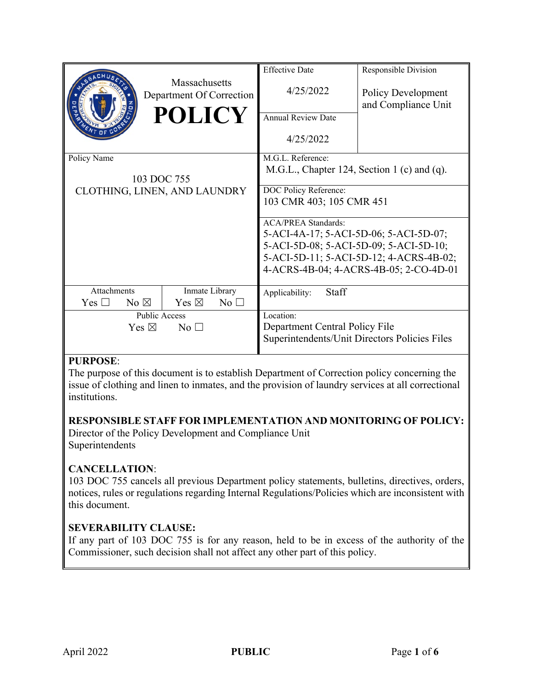|                                     |                                           | <b>Effective Date</b>                         | Responsible Division      |
|-------------------------------------|-------------------------------------------|-----------------------------------------------|---------------------------|
|                                     | Massachusetts<br>Department Of Correction | 4/25/2022                                     | <b>Policy Development</b> |
|                                     | <b>POLICY</b>                             | <b>Annual Review Date</b>                     | and Compliance Unit       |
|                                     |                                           |                                               |                           |
|                                     |                                           | 4/25/2022                                     |                           |
| Policy Name                         |                                           | M.G.L. Reference:                             |                           |
|                                     |                                           | M.G.L., Chapter 124, Section 1 (c) and (q).   |                           |
| 103 DOC 755                         |                                           |                                               |                           |
| CLOTHING, LINEN, AND LAUNDRY        |                                           | DOC Policy Reference:                         |                           |
|                                     |                                           | 103 CMR 403; 105 CMR 451                      |                           |
|                                     |                                           | <b>ACA/PREA Standards:</b>                    |                           |
|                                     |                                           | 5-ACI-4A-17; 5-ACI-5D-06; 5-ACI-5D-07;        |                           |
|                                     |                                           | 5-ACI-5D-08; 5-ACI-5D-09; 5-ACI-5D-10;        |                           |
|                                     |                                           | 5-ACI-5D-11; 5-ACI-5D-12; 4-ACRS-4B-02;       |                           |
|                                     |                                           | 4-ACRS-4B-04; 4-ACRS-4B-05; 2-CO-4D-01        |                           |
|                                     |                                           |                                               |                           |
| Attachments                         | Inmate Library                            | Staff<br>Applicability:                       |                           |
| No $\boxtimes$<br>$\rm Yes \; \Box$ | Yes $\boxtimes$<br>No <sub>1</sub>        |                                               |                           |
| Public Access                       |                                           | Location:                                     |                           |
| No <sub>1</sub><br>Yes $\boxtimes$  |                                           | Department Central Policy File                |                           |
|                                     |                                           | Superintendents/Unit Directors Policies Files |                           |
|                                     |                                           |                                               |                           |

## **PURPOSE**:

The purpose of this document is to establish Department of Correction policy concerning the issue of clothing and linen to inmates, and the provision of laundry services at all correctional institutions.

### **RESPONSIBLE STAFF FOR IMPLEMENTATION AND MONITORING OF POLICY:**

Director of the Policy Development and Compliance Unit Superintendents

### **CANCELLATION**:

103 DOC 755 cancels all previous Department policy statements, bulletins, directives, orders, notices, rules or regulations regarding Internal Regulations/Policies which are inconsistent with this document.

## **SEVERABILITY CLAUSE:**

If any part of 103 DOC 755 is for any reason, held to be in excess of the authority of the Commissioner, such decision shall not affect any other part of this policy.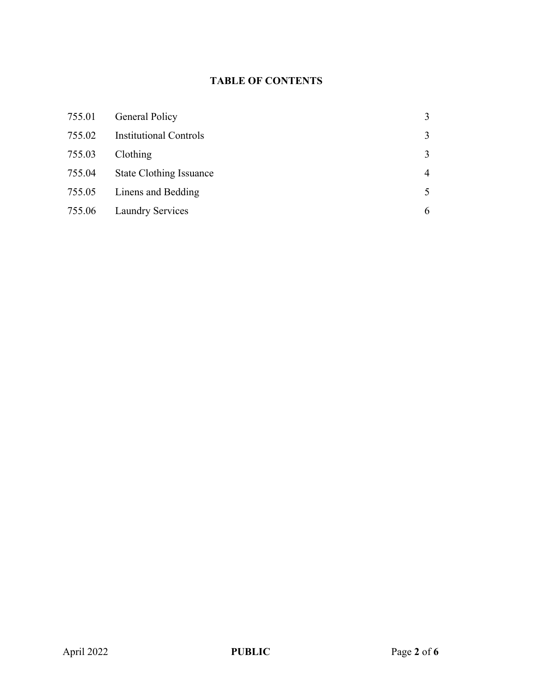# **TABLE OF CONTENTS**

| 755.01 | <b>General Policy</b>          | 3              |
|--------|--------------------------------|----------------|
| 755.02 | <b>Institutional Controls</b>  | 3              |
| 755.03 | Clothing                       | 3              |
| 755.04 | <b>State Clothing Issuance</b> | $\overline{4}$ |
| 755.05 | Linens and Bedding             | 5              |
| 755.06 | <b>Laundry Services</b>        | 6              |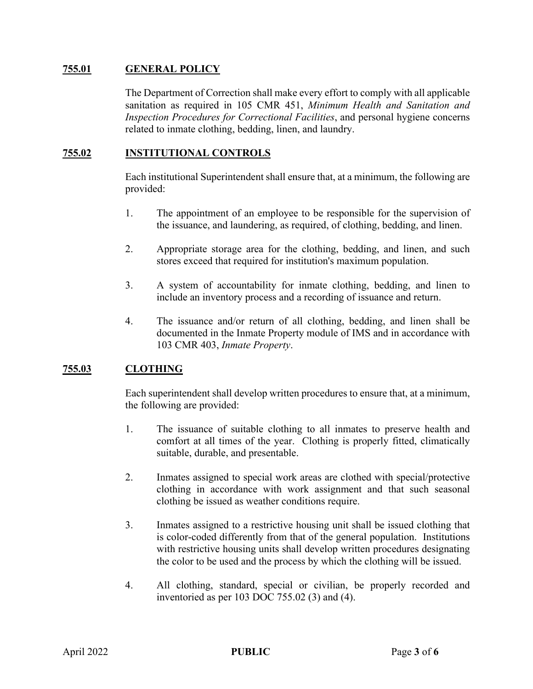### **755.01 GENERAL POLICY**

The Department of Correction shall make every effort to comply with all applicable sanitation as required in 105 CMR 451, *Minimum Health and Sanitation and Inspection Procedures for Correctional Facilities*, and personal hygiene concerns related to inmate clothing, bedding, linen, and laundry.

## **755.02 INSTITUTIONAL CONTROLS**

Each institutional Superintendent shall ensure that, at a minimum, the following are provided:

- 1. The appointment of an employee to be responsible for the supervision of the issuance, and laundering, as required, of clothing, bedding, and linen.
- 2. Appropriate storage area for the clothing, bedding, and linen, and such stores exceed that required for institution's maximum population.
- 3. A system of accountability for inmate clothing, bedding, and linen to include an inventory process and a recording of issuance and return.
- 4. The issuance and/or return of all clothing, bedding, and linen shall be documented in the Inmate Property module of IMS and in accordance with 103 CMR 403, *Inmate Property*.

### **755.03 CLOTHING**

Each superintendent shall develop written procedures to ensure that, at a minimum, the following are provided:

- 1. The issuance of suitable clothing to all inmates to preserve health and comfort at all times of the year. Clothing is properly fitted, climatically suitable, durable, and presentable.
- 2. Inmates assigned to special work areas are clothed with special/protective clothing in accordance with work assignment and that such seasonal clothing be issued as weather conditions require.
- 3. Inmates assigned to a restrictive housing unit shall be issued clothing that is color-coded differently from that of the general population. Institutions with restrictive housing units shall develop written procedures designating the color to be used and the process by which the clothing will be issued.
- 4. All clothing, standard, special or civilian, be properly recorded and inventoried as per 103 DOC 755.02 (3) and (4).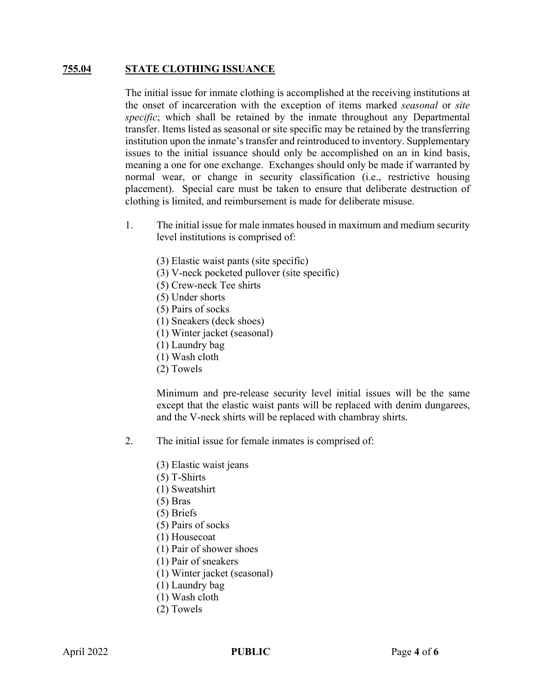#### **755.04 STATE CLOTHING ISSUANCE**

The initial issue for inmate clothing is accomplished at the receiving institutions at the onset of incarceration with the exception of items marked *seasonal* or *site specific*; which shall be retained by the inmate throughout any Departmental transfer. Items listed as seasonal or site specific may be retained by the transferring institution upon the inmate's transfer and reintroduced to inventory. Supplementary issues to the initial issuance should only be accomplished on an in kind basis, meaning a one for one exchange. Exchanges should only be made if warranted by normal wear, or change in security classification (i.e., restrictive housing placement). Special care must be taken to ensure that deliberate destruction of clothing is limited, and reimbursement is made for deliberate misuse.

- 1. The initial issue for male inmates housed in maximum and medium security level institutions is comprised of:
	- (3) Elastic waist pants (site specific)
	- (3) V-neck pocketed pullover (site specific)
	- (5) Crew-neck Tee shirts
	- (5) Under shorts
	- (5) Pairs of socks
	- (1) Sneakers (deck shoes)
	- (1) Winter jacket (seasonal)
	- (1) Laundry bag
	- (1) Wash cloth
	- (2) Towels

Minimum and pre-release security level initial issues will be the same except that the elastic waist pants will be replaced with denim dungarees, and the V-neck shirts will be replaced with chambray shirts.

- 2. The initial issue for female inmates is comprised of:
	- (3) Elastic waist jeans
	- (5) T-Shirts
	- (1) Sweatshirt
	- (5) Bras
	- (5) Briefs
	- (5) Pairs of socks
	- (1) Housecoat
	- (1) Pair of shower shoes
	- (1) Pair of sneakers
	- (1) Winter jacket (seasonal)
	- (1) Laundry bag
	- (1) Wash cloth
	- (2) Towels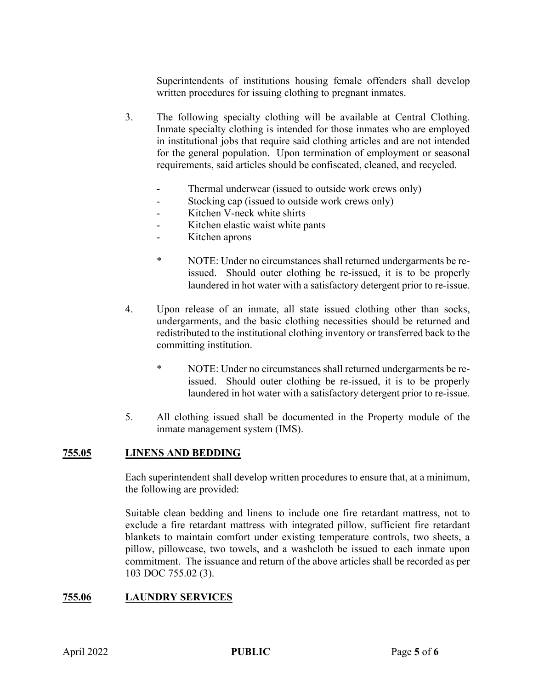Superintendents of institutions housing female offenders shall develop written procedures for issuing clothing to pregnant inmates.

- 3. The following specialty clothing will be available at Central Clothing. Inmate specialty clothing is intended for those inmates who are employed in institutional jobs that require said clothing articles and are not intended for the general population. Upon termination of employment or seasonal requirements, said articles should be confiscated, cleaned, and recycled.
	- Thermal underwear (issued to outside work crews only)
	- Stocking cap (issued to outside work crews only)
	- Kitchen V-neck white shirts
	- Kitchen elastic waist white pants
	- Kitchen aprons
	- \* NOTE: Under no circumstances shall returned undergarments be reissued. Should outer clothing be re-issued, it is to be properly laundered in hot water with a satisfactory detergent prior to re-issue.
- 4. Upon release of an inmate, all state issued clothing other than socks, undergarments, and the basic clothing necessities should be returned and redistributed to the institutional clothing inventory or transferred back to the committing institution.
	- \* NOTE: Under no circumstances shall returned undergarments be reissued. Should outer clothing be re-issued, it is to be properly laundered in hot water with a satisfactory detergent prior to re-issue.
- 5. All clothing issued shall be documented in the Property module of the inmate management system (IMS).

#### **755.05 LINENS AND BEDDING**

Each superintendent shall develop written procedures to ensure that, at a minimum, the following are provided:

Suitable clean bedding and linens to include one fire retardant mattress, not to exclude a fire retardant mattress with integrated pillow, sufficient fire retardant blankets to maintain comfort under existing temperature controls, two sheets, a pillow, pillowcase, two towels, and a washcloth be issued to each inmate upon commitment. The issuance and return of the above articles shall be recorded as per 103 DOC 755.02 (3).

#### **755.06 LAUNDRY SERVICES**